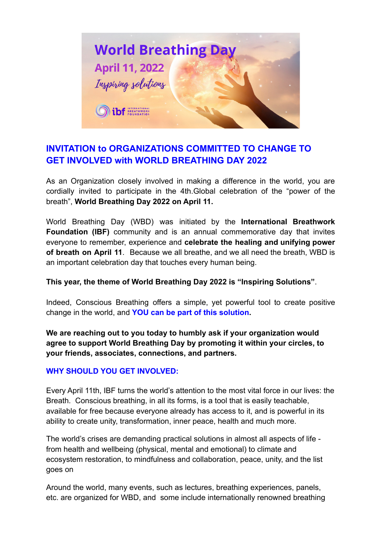

# **INVITATION to ORGANIZATIONS COMMITTED TO CHANGE TO GET INVOLVED with WORLD BREATHING DAY 2022**

As an Organization closely involved in making a difference in the world, you are cordially invited to participate in the 4th.Global celebration of the "power of the breath", **World Breathing Day 2022 on April 11.**

World Breathing Day (WBD) was initiated by the **International Breathwork Foundation (IBF)** community and is an annual commemorative day that invites everyone to remember, experience and **celebrate the healing and unifying power of breath on April 11**. Because we all breathe, and we all need the breath, WBD is an important celebration day that touches every human being.

## **This year, the theme of World Breathing Day 2022 is "Inspiring Solutions"**.

Indeed, Conscious Breathing offers a simple, yet powerful tool to create positive change in the world, and **YOU can be part of this solution.**

**We are reaching out to you today to humbly ask if your organization would agree to support World Breathing Day by promoting it within your circles, to your friends, associates, connections, and partners.**

#### **WHY SHOULD YOU GET INVOLVED:**

Every April 11th, IBF turns the world's attention to the most vital force in our lives: the Breath. Conscious breathing, in all its forms, is a tool that is easily teachable, available for free because everyone already has access to it, and is powerful in its ability to create unity, transformation, inner peace, health and much more.

The world's crises are demanding practical solutions in almost all aspects of life from health and wellbeing (physical, mental and emotional) to climate and ecosystem restoration, to mindfulness and collaboration, peace, unity, and the list goes on

Around the world, many events, such as lectures, breathing experiences, panels, etc. are organized for WBD, and some include internationally renowned breathing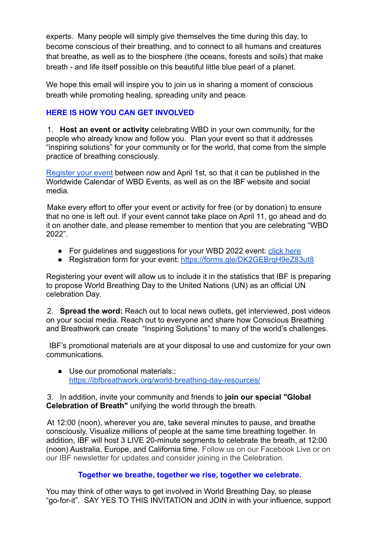experts. Many people will simply give themselves the time during this day, to become conscious of their breathing, and to connect to all humans and creatures that breathe, as well as to the biosphere (the oceans, forests and soils) that make breath - and life itself possible on this beautiful little blue pearl of a planet.

We hope this email will inspire you to join us in sharing a moment of conscious breath while promoting healing, spreading unity and peace.

## **HERE IS HOW YOU CAN GET INVOLVED**

1. **Host an event or activity** celebrating WBD in your own community, for the people who already know and follow you. Plan your event so that it addresses "inspiring solutions" for your community or for the world, that come from the simple practice of breathing consciously.

[Register your event](https://forms.gle/DK2GEBrqH9eZ83ut8) between now and April 1st, so that it can be published in the Worldwide Calendar of WBD Events, as well as on the IBF website and social media.

Make every effort to offer your event or activity for free (or by donation) to ensure that no one is left out. If your event cannot take place on April 11, go ahead and do it on another date, and please remember to mention that you are celebrating "WBD 2022".

- For guidelines and suggestions for your WBD 2022 event: [click here](https://ibfbreathwork.org/guidelines-for-planning-and-hosting-your-event_/)
- Registration form for your event: <https://forms.gle/DK2GEBrqH9eZ83ut8>

Registering your event will allow us to include it in the statistics that IBF is preparing to propose World Breathing Day to the United Nations (UN) as an official UN celebration Day.

2. **Spread the word:** Reach out to local news outlets, get interviewed, post videos on your social media. Reach out to everyone and share how Conscious Breathing and Breathwork can create "Inspiring Solutions" to many of the world's challenges.

IBF's promotional materials are at your disposal to use and customize for your own communications.

● Use our promotional materials:: <https://ibfbreathwork.org/world-breathing-day-resources/>

#### 3. In addition, invite your community and friends to **join our special "Global Celebration of Breath"** unifying the world through the breath.

At 12:00 (noon), wherever you are, take several minutes to pause, and breathe consciously. Visualize millions of people at the same time breathing together. In addition, IBF will host 3 LIVE 20-minute segments to celebrate the breath, at 12:00 (noon) Australia, Europe, and California time. Follow us on our Facebook Live or on our IBF newsletter for updates and consider joining in the Celebration.

## **Together we breathe, together we rise, together we celebrate.**

You may think of other ways to get involved in World Breathing Day, so please "go-for-it". SAY YES TO THIS INVITATION and JOIN in with your influence, support